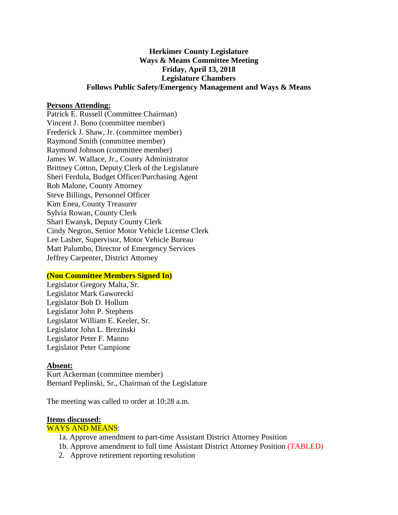# **Herkimer County Legislature Ways & Means Committee Meeting Friday, April 13, 2018 Legislature Chambers Follows Public Safety/Emergency Management and Ways & Means**

## **Persons Attending:**

Patrick E. Russell (Committee Chairman) Vincent J. Bono (committee member) Frederick J. Shaw, Jr. (committee member) Raymond Smith (committee member) Raymond Johnson (committee member) James W. Wallace, Jr., County Administrator Brittney Cotton, Deputy Clerk of the Legislature Sheri Ferdula, Budget Officer/Purchasing Agent Rob Malone, County Attorney Steve Billings, Personnel Officer Kim Enea, County Treasurer Sylvia Rowan, County Clerk Shari Ewanyk, Deputy County Clerk Cindy Negron, Senior Motor Vehicle License Clerk Lee Lasher, Supervisor, Motor Vehicle Bureau Matt Palumbo, Director of Emergency Services Jeffrey Carpenter, District Attorney

## **(Non Committee Members Signed In)**

Legislator Gregory Malta, Sr. Legislator Mark Gaworecki Legislator Bob D. Hollum Legislator John P. Stephens Legislator William E. Keeler, Sr. Legislator John L. Brezinski Legislator Peter F. Manno Legislator Peter Campione

#### **Absent:**

Kurt Ackerman (committee member) Bernard Peplinski, Sr., Chairman of the Legislature

The meeting was called to order at 10:28 a.m.

## **Items discussed:**

#### WAYS AND MEANS:

- 1a. Approve amendment to part-time Assistant District Attorney Position
- 1b. Approve amendment to full time Assistant District Attorney Position (TABLED)
- 2. Approve retirement reporting resolution